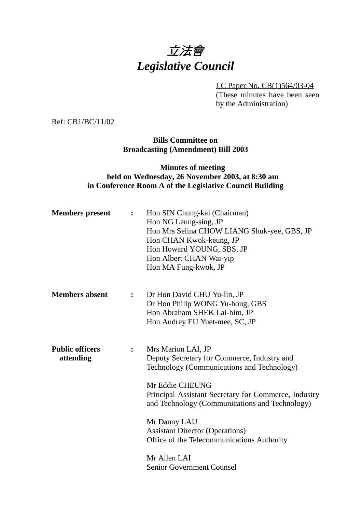

LC Paper No. CB(1)564/03-04

(These minutes have been seen by the Administration)

Ref: CB1/BC/11/02

**Bills Committee on Broadcasting (Amendment) Bill 2003**

### **Minutes of meeting held on Wednesday, 26 November 2003, at 8:30 am in Conference Room A of the Legislative Council Building**

| <b>Members</b> present              | $\ddot{\cdot}$ | Hon SIN Chung-kai (Chairman)<br>Hon NG Leung-sing, JP<br>Hon Mrs Selina CHOW LIANG Shuk-yee, GBS, JP<br>Hon CHAN Kwok-keung, JP<br>Hon Howard YOUNG, SBS, JP<br>Hon Albert CHAN Wai-yip<br>Hon MA Fung-kwok, JP                                                                                                                                                                                          |
|-------------------------------------|----------------|----------------------------------------------------------------------------------------------------------------------------------------------------------------------------------------------------------------------------------------------------------------------------------------------------------------------------------------------------------------------------------------------------------|
| <b>Members</b> absent               | $\ddot{\cdot}$ | Dr Hon David CHU Yu-lin, JP<br>Dr Hon Philip WONG Yu-hong, GBS<br>Hon Abraham SHEK Lai-him, JP<br>Hon Audrey EU Yuet-mee, SC, JP                                                                                                                                                                                                                                                                         |
| <b>Public officers</b><br>attending | $\ddot{\cdot}$ | Mrs Marion LAI, JP<br>Deputy Secretary for Commerce, Industry and<br>Technology (Communications and Technology)<br>Mr Eddie CHEUNG<br>Principal Assistant Secretary for Commerce, Industry<br>and Technology (Communications and Technology)<br>Mr Danny LAU<br><b>Assistant Director (Operations)</b><br>Office of the Telecommunications Authority<br>Mr Allen LAI<br><b>Senior Government Counsel</b> |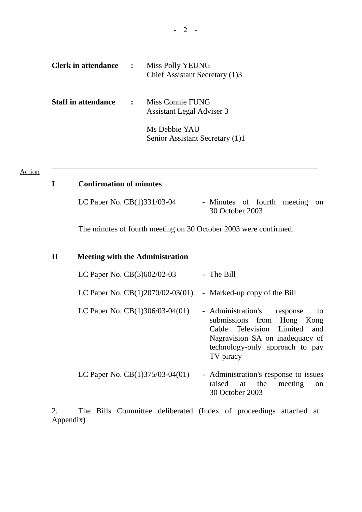| <b>Clerk in attendance</b> | $\ddot{\cdot}$       | Miss Polly YEUNG<br>Chief Assistant Secretary (1)3   |
|----------------------------|----------------------|------------------------------------------------------|
| <b>Staff in attendance</b> | $\ddot{\phantom{a}}$ | Miss Connie FUNG<br><b>Assistant Legal Adviser 3</b> |
|                            |                      | Ms Debbie YAU<br>Senior Assistant Secretary (1)1     |

#### Action

 $\overline{a}$ 

## **I Confirmation of minutes**

| LC Paper No. CB(1)331/03-04 | - Minutes of fourth meeting on |  |  |
|-----------------------------|--------------------------------|--|--|
|                             | 30 October 2003                |  |  |

The minutes of fourth meeting on 30 October 2003 were confirmed.

#### **II Meeting with the Administration**

| LC Paper No. $CB(3)602/02-03$      | - The Bill                     |    |
|------------------------------------|--------------------------------|----|
| LC Paper No. $CB(1)2070/02-03(01)$ | - Marked-up copy of the Bill   |    |
| LC Paper No. $CB(1)306/03-04(01)$  | - Administration's<br>response | to |

| $\epsilon$ . $\epsilon$ . $\epsilon$ . $\epsilon$ , $\epsilon$ , $\epsilon$ , $\epsilon$ , $\epsilon$ , $\epsilon$ , $\epsilon$ , $\epsilon$ , $\epsilon$ , $\epsilon$ , $\epsilon$ , $\epsilon$ , $\epsilon$ , $\epsilon$ , $\epsilon$ , $\epsilon$ , $\epsilon$ , $\epsilon$ , $\epsilon$ , $\epsilon$ , $\epsilon$ , $\epsilon$ , $\epsilon$ , $\epsilon$ , $\epsilon$ , $\epsilon$ , $\epsilon$ , $\epsilon$ , $\epsilon$ | $\frac{1}{2}$                   |  |  |
|-------------------------------------------------------------------------------------------------------------------------------------------------------------------------------------------------------------------------------------------------------------------------------------------------------------------------------------------------------------------------------------------------------------------------------|---------------------------------|--|--|
|                                                                                                                                                                                                                                                                                                                                                                                                                               | submissions from Hong Kong      |  |  |
|                                                                                                                                                                                                                                                                                                                                                                                                                               | Cable Television Limited and    |  |  |
|                                                                                                                                                                                                                                                                                                                                                                                                                               | Nagravision SA on inadequacy of |  |  |
|                                                                                                                                                                                                                                                                                                                                                                                                                               | technology-only approach to pay |  |  |
|                                                                                                                                                                                                                                                                                                                                                                                                                               | TV piracy                       |  |  |
|                                                                                                                                                                                                                                                                                                                                                                                                                               |                                 |  |  |

LC Paper No. CB(1)375/03-04(01) - Administration's response to issues raised at the meeting on 30 October 2003

2. The Bills Committee deliberated (Index of proceedings attached at Appendix)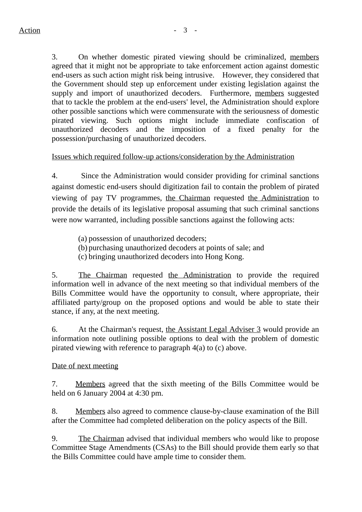3. On whether domestic pirated viewing should be criminalized, members agreed that it might not be appropriate to take enforcement action against domestic end-users as such action might risk being intrusive. However, they considered that the Government should step up enforcement under existing legislation against the supply and import of unauthorized decoders. Furthermore, members suggested that to tackle the problem at the end-users' level, the Administration should explore other possible sanctions which were commensurate with the seriousness of domestic pirated viewing. Such options might include immediate confiscation of unauthorized decoders and the imposition of a fixed penalty for the possession/purchasing of unauthorized decoders.

# Issues which required follow-up actions/consideration by the Administration

4. Since the Administration would consider providing for criminal sanctions against domestic end-users should digitization fail to contain the problem of pirated viewing of pay TV programmes, the Chairman requested the Administration to provide the details of its legislative proposal assuming that such criminal sanctions were now warranted, including possible sanctions against the following acts:

(a) possession of unauthorized decoders;

(b) purchasing unauthorized decoders at points of sale; and

(c) bringing unauthorized decoders into Hong Kong.

5. The Chairman requested the Administration to provide the required information well in advance of the next meeting so that individual members of the Bills Committee would have the opportunity to consult, where appropriate, their affiliated party/group on the proposed options and would be able to state their stance, if any, at the next meeting.

6. At the Chairman's request, the Assistant Legal Adviser 3 would provide an information note outlining possible options to deal with the problem of domestic pirated viewing with reference to paragraph 4(a) to (c) above.

## Date of next meeting

7. Members agreed that the sixth meeting of the Bills Committee would be held on 6 January 2004 at 4:30 pm.

8. Members also agreed to commence clause-by-clause examination of the Bill after the Committee had completed deliberation on the policy aspects of the Bill.

9. The Chairman advised that individual members who would like to propose Committee Stage Amendments (CSAs) to the Bill should provide them early so that the Bills Committee could have ample time to consider them.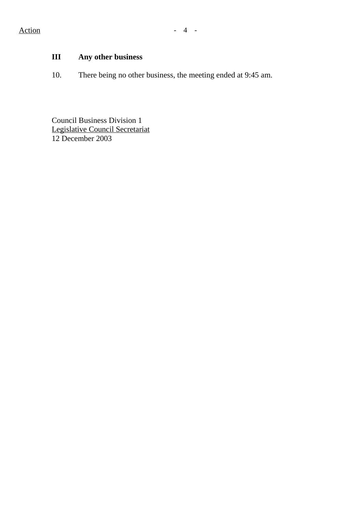# **III Any other business**

10. There being no other business, the meeting ended at 9:45 am.

Council Business Division 1 Legislative Council Secretariat 12 December 2003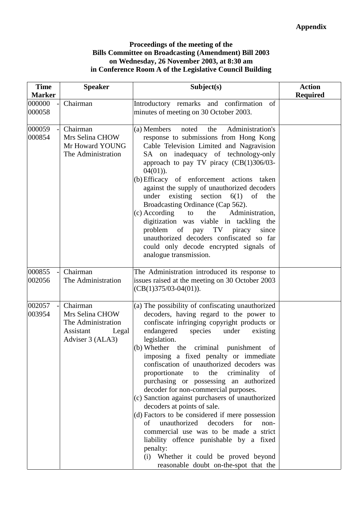#### **Proceedings of the meeting of the Bills Committee on Broadcasting (Amendment) Bill 2003 on Wednesday, 26 November 2003, at 8:30 am in Conference Room A of the Legislative Council Building**

| <b>Time</b>      | <b>Speaker</b><br>Subject(s)                                                                |                                                                                                                                                                                                                                                                                                                                                                                                                                                                                                                                                                                                                                                                                                                                                                                                                                                                   | <b>Action</b>   |
|------------------|---------------------------------------------------------------------------------------------|-------------------------------------------------------------------------------------------------------------------------------------------------------------------------------------------------------------------------------------------------------------------------------------------------------------------------------------------------------------------------------------------------------------------------------------------------------------------------------------------------------------------------------------------------------------------------------------------------------------------------------------------------------------------------------------------------------------------------------------------------------------------------------------------------------------------------------------------------------------------|-----------------|
| <b>Marker</b>    |                                                                                             |                                                                                                                                                                                                                                                                                                                                                                                                                                                                                                                                                                                                                                                                                                                                                                                                                                                                   | <b>Required</b> |
| 000000<br>000058 | Chairman                                                                                    | Introductory remarks and confirmation<br>of<br>minutes of meeting on 30 October 2003.                                                                                                                                                                                                                                                                                                                                                                                                                                                                                                                                                                                                                                                                                                                                                                             |                 |
| 000059           | Chairman                                                                                    | Administration's<br>(a) Members<br>the<br>noted                                                                                                                                                                                                                                                                                                                                                                                                                                                                                                                                                                                                                                                                                                                                                                                                                   |                 |
| 000854           | Mrs Selina CHOW<br>Mr Howard YOUNG<br>The Administration                                    | response to submissions from Hong Kong<br>Cable Television Limited and Nagravision<br>SA on inadequacy of technology-only<br>approach to pay TV piracy $(CB(1)306/03$ -<br>$04(01)$ ).<br>(b) Efficacy of enforcement actions taken<br>against the supply of unauthorized decoders<br>existing section<br>6(1)<br>under<br>of<br>the<br>Broadcasting Ordinance (Cap 562).<br>the<br>(c) According<br>Administration,<br>to<br>digitization was viable in tackling the<br>of pay TV<br>problem<br>piracy since<br>unauthorized decoders confiscated so far<br>could only decode encrypted signals of<br>analogue transmission.                                                                                                                                                                                                                                     |                 |
| 000855<br>002056 | Chairman<br>The Administration                                                              | The Administration introduced its response to<br>issues raised at the meeting on 30 October 2003<br>$(CB(1)375/03-04(01)).$                                                                                                                                                                                                                                                                                                                                                                                                                                                                                                                                                                                                                                                                                                                                       |                 |
| 002057<br>003954 | Chairman<br>Mrs Selina CHOW<br>The Administration<br>Assistant<br>Legal<br>Adviser 3 (ALA3) | (a) The possibility of confiscating unauthorized<br>decoders, having regard to the power to<br>confiscate infringing copyright products or<br>endangered<br>species<br>under<br>existing<br>legislation.<br>(b) Whether the criminal punishment<br>of<br>imposing a fixed penalty or immediate<br>confiscation of unauthorized decoders was<br>proportionate<br>to the<br>criminality<br><sub>of</sub><br>purchasing or possessing an authorized<br>decoder for non-commercial purposes.<br>(c) Sanction against purchasers of unauthorized<br>decoders at points of sale.<br>(d) Factors to be considered if mere possession<br>unauthorized<br>decoders<br>of<br>for<br>non-<br>commercial use was to be made a strict<br>liability offence punishable by a fixed<br>penalty:<br>(i) Whether it could be proved beyond<br>reasonable doubt on-the-spot that the |                 |